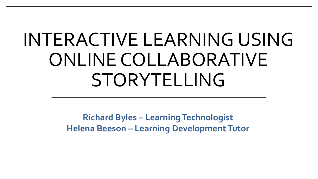## INTERACTIVE LEARNING USING ONLINE COLLABORATIVE STORYTELLING

**Richard Byles – Learning Technologist Helena Beeson – Learning Development Tutor**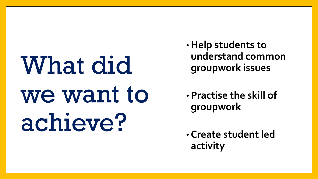What did we want to achieve?

- •**Help students to understand common groupwork issues**
- **Practise the skill of groupwork**

• **Create student led activity**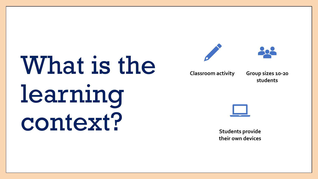# What is the learning context?





**Classroom activity Group sizes 10-20** 

**students**



**Students provide their own devices**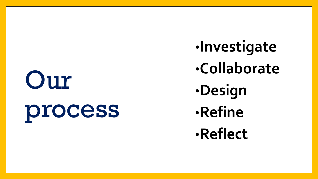## Our

## process

•**Investigate** •**Collaborate** •**Design** •**Refine** •**Reflect**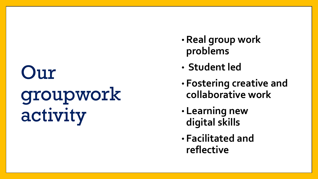## Our groupwork activity

- **Real group work problems**
- **Student led**
- **Fostering creative and collaborative work**
- **Learning new digital skills**
- **Facilitated and reflective**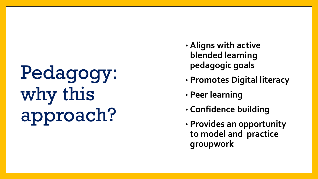Pedagogy: why this approach?

- **Aligns with active blended learning pedagogic goals**
- **Promotes Digital literacy**
- **Peer learning**
- **Confidence building**
- **Provides an opportunity to model and practice groupwork**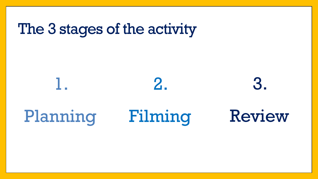### The 3 stages of the activity

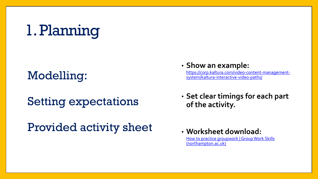### 1. Planning

Setting expectations

#### Provided activity sheet

• **Show an example:**<br>https://corp.kaltura.com/video-content-management-

[https://corp.kaltura.com/video-content-management-](https://corp.kaltura.com/video-content-management-system/kaltura-interactive-video-paths/) Modelling: system/kaltura-interactive-video-paths/

• **Set clear timings for each part of the activity.**

• **Worksheet download:** [How to practice groupwork | Group Work Skills](https://mypad.northampton.ac.uk/groupworkskills/exercise/) (northampton.ac.uk)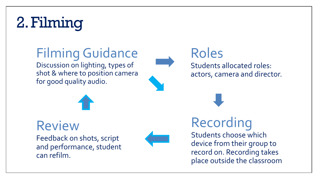## 2. Filming

#### Filming Guidance

Discussion on lighting, types of shot & where to position camera for good quality audio.



#### Roles Students allocated roles: actors, camera and director.



#### Review

Feedback on shots, script and performance, student can refilm.



#### Recording

Students choose which device from their group to record on. Recording takes place outside the classroom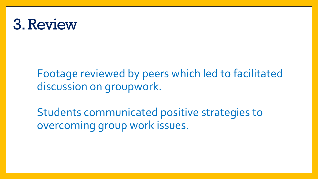### 3. Review

Footage reviewed by peers which led to facilitated discussion on groupwork.

Students communicated positive strategies to overcoming group work issues.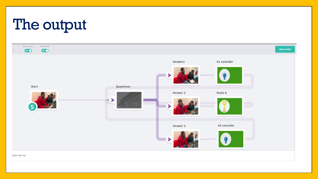### The output

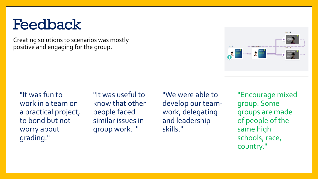### Feedback

Creating solutions to scenarios was mostly positive and engaging for the group.



"It was fun to work in a team on a practical project, to bond but not worry about grading."

"It was useful to know that other people faced similar issues in group work. "

"We were able to develop our teamwork, delegating and leadership skills."

"Encourage mixed group. Some groups are made of people of the same high schools, race, country."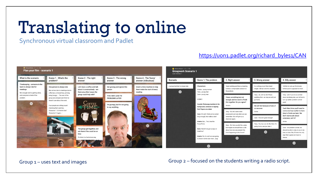## Translating to online

Synchronous virtual classroom and Padlet

#### [https://uon1.padlet.org/richard\\_byles1/CAN](https://uon1.padlet.org/richard_byles1/CAN)



#### Group 1 – uses text and images Group 2 – focused on the students writing a radio script.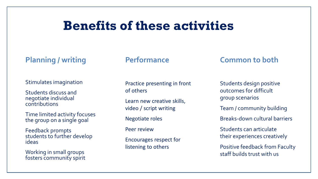#### **Benefits of these activities**

#### **Planning / writing**

#### Stimulates imagination

Students discuss and negotiate individual contributions

Time limited activity focuses the group on a single goal

Feedback prompts students to further develop ideas

Working in small groups fosters community spirit

#### **Performance**

Practice presenting in front of others

Learn new creative skills, video / script writing

Negotiate roles

Peer review

Encourages respect for listening to others

#### **Common to both**

Students design positive outcomes for difficult group scenarios Team / community building Breaks-down cultural barriers Students can articulate their experiences creatively Positive feedback from Faculty

staff builds trust with us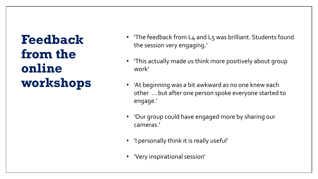**Feedback from the online workshops**

- 'The feedback from L4 and L5 was brilliant. Students found the session very engaging.'
- 'This actually made us think more positively about group work'
- 'At beginning was a bit awkward as no one knew each other … but after one person spoke everyone started to engage.'
- 'Our group could have engaged more by sharing our cameras.'
- 'I personally think it is really useful'
- 'Very inspirational session'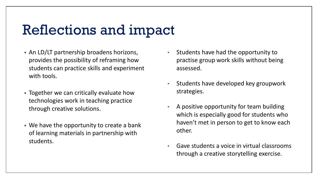#### Reflections and impact

- An LD/LT partnership broadens horizons, provides the possibility of reframing how students can practice skills and experiment with tools.
- Together we can critically evaluate how technologies work in teaching practice through creative solutions.
- We have the opportunity to create a bank of learning materials in partnership with students.
- Students have had the opportunity to practise group work skills without being assessed.
- Students have developed key groupwork strategies.
- A positive opportunity for team building which is especially good for students who haven't met in person to get to know each other.
- Gave students a voice in virtual classrooms through a creative storytelling exercise.